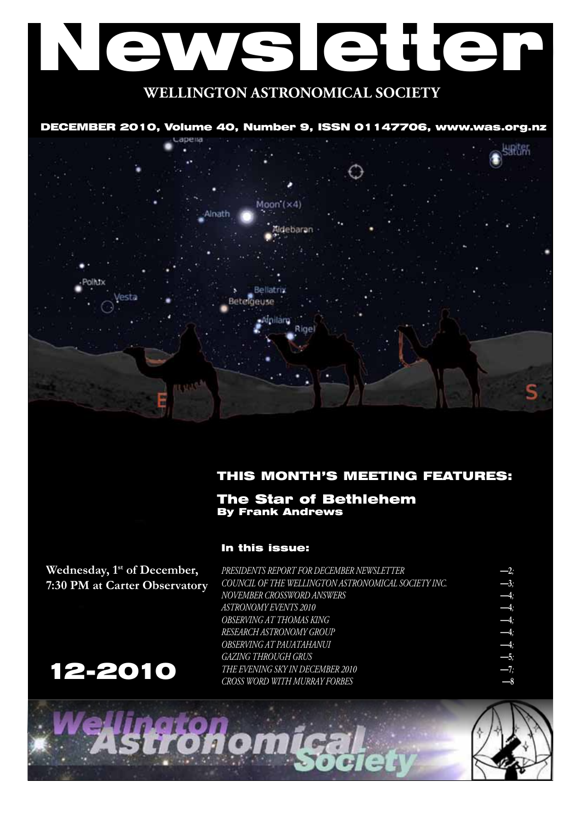# Newsletter **WELLINGTON ASTRONOMICAL SOCIETY**

## DECEMBER 2010, Volume 40, Number 9, ISSN 01147706, www.was.org.nz



## THIS MONTH'S MEETING FEATURES:

### The Star of Bethlehem By Frank Andrews

In this issue:

**Wednesday, 1st of December, 7:30 PM at Carter Observatory**



*PRESIDENTS REPORT FOR DECEMBER NEWSLETTER*<br>
COUNCIL OF THE WELLINGTON ASTRONOMICAL SOCIETY INC.<br>  $\begin{array}{rcl}\n & -2; \\
\text{NOVEMBER CROSWORD ANSWERS} & & -3; \\
\text{ASTRONOMY EVENTS 2010} & & -4; \\
\text{OBSERVING AT THOMAS KING} & & & -4; \\
\text{RESEARCH ASTRONOMY GROUP} & & & & -4; \\
\text{RESEARCH ASTRONOMY GROUP} & & & & -$ *COUNCIL OF THE WELLINGTON ASTRONOMICAL SOCIETY INC.* **—3***;*  $NOVEMBER$  *CROSSWORD ANSWERS*  $ASTRONOMY EVENTS 2010$ *OBSERVING AT THOMAS KING* **—4***;*  $RESEARCH$ *ASTRONOMY GROUP OBSERVING AT PAUATAHANUI* **—4***;*  $GAZING$  THROUGH GRUS *The Evening Sky in December 2010* **—7***; Cross Word with Murray Forbes* **—8**

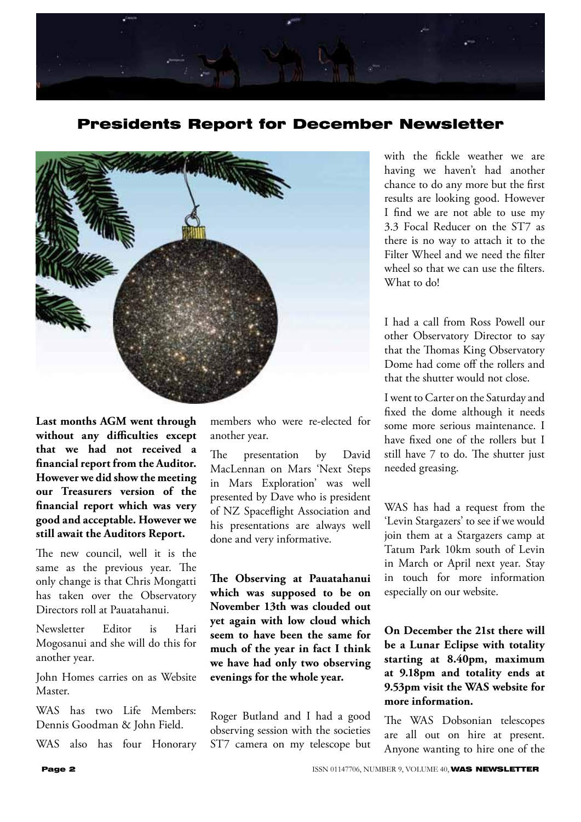

Presidents Report for December Newsletter



**Last months AGM went through without any difficulties except that we had not received a financial report from the Auditor. However we did show the meeting our Treasurers version of the financial report which was very good and acceptable. However we still await the Auditors Report.**

The new council, well it is the same as the previous year. The only change is that Chris Mongatti has taken over the Observatory Directors roll at Pauatahanui.

Newsletter Editor is Hari Mogosanui and she will do this for another year.

John Homes carries on as Website Master.

WAS has two Life Members: Dennis Goodman & John Field.

WAS also has four Honorary

members who were re-elected for another year.

The presentation by David MacLennan on Mars 'Next Steps in Mars Exploration' was well presented by Dave who is president of NZ Spaceflight Association and his presentations are always well done and very informative.

**The Observing at Pauatahanui which was supposed to be on November 13th was clouded out yet again with low cloud which seem to have been the same for much of the year in fact I think we have had only two observing evenings for the whole year.**

Roger Butland and I had a good observing session with the societies ST7 camera on my telescope but

with the fickle weather we are having we haven't had another chance to do any more but the first results are looking good. However I find we are not able to use my 3.3 Focal Reducer on the ST7 as there is no way to attach it to the Filter Wheel and we need the filter wheel so that we can use the filters. What to do!

I had a call from Ross Powell our other Observatory Director to say that the Thomas King Observatory Dome had come off the rollers and that the shutter would not close.

I went to Carter on the Saturday and fixed the dome although it needs some more serious maintenance. I have fixed one of the rollers but I still have 7 to do. The shutter just needed greasing.

WAS has had a request from the 'Levin Stargazers' to see if we would join them at a Stargazers camp at Tatum Park 10km south of Levin in March or April next year. Stay in touch for more information especially on our website.

## **On December the 21st there will be a Lunar Eclipse with totality starting at 8.40pm, maximum at 9.18pm and totality ends at 9.53pm visit the WAS website for more information.**

The WAS Dobsonian telescopes are all out on hire at present. Anyone wanting to hire one of the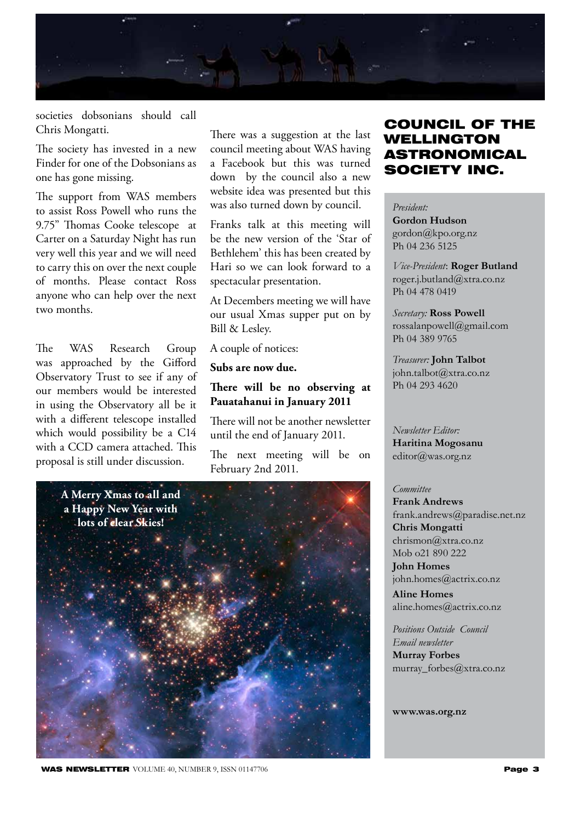

societies dobsonians should call Chris Mongatti.

The society has invested in a new Finder for one of the Dobsonians as one has gone missing.

The support from WAS members to assist Ross Powell who runs the 9.75" Thomas Cooke telescope at Carter on a Saturday Night has run very well this year and we will need to carry this on over the next couple of months. Please contact Ross anyone who can help over the next two months.

The WAS Research Group was approached by the Gifford Observatory Trust to see if any of our members would be interested in using the Observatory all be it with a different telescope installed which would possibility be a C14 with a CCD camera attached. This proposal is still under discussion.

There was a suggestion at the last council meeting about WAS having a Facebook but this was turned down by the council also a new website idea was presented but this was also turned down by council.

Franks talk at this meeting will be the new version of the 'Star of Bethlehem' this has been created by Hari so we can look forward to a spectacular presentation.

At Decembers meeting we will have our usual Xmas supper put on by Bill & Lesley.

A couple of notices:

**Subs are now due.**

## **There will be no observing at Pauatahanui in January 2011**

There will not be another newsletter until the end of January 2011.

The next meeting will be on February 2nd 2011.



# COUNCIL OF THE WELLINGTON ASTRONOMICAL SOCIETY INC.

*President:* 

**Gordon Hudson** gordon@kpo.org.nz Ph 04 236 5125

*Vice-President*: **Roger Butland** roger.j.butland@xtra.co.nz Ph 04 478 0419

*Secretary:* **Ross Powell** rossalanpowell@gmail.com Ph 04 389 9765

*Treasurer:* **John Talbot** john.talbot@xtra.co.nz Ph 04 293 4620

*Newsletter Editor:*  **Haritina Mogosanu** editor@was.org.nz

#### *Committee*

**Frank Andrews** frank.andrews@paradise.net.nz **Chris Mongatti** chrismon@xtra.co.nz Mob o21 890 222 **John Homes**

john.homes@actrix.co.nz **Aline Homes**

aline.homes@actrix.co.nz

*Positions Outside Council Email newsletter* **Murray Forbes** murray\_forbes@xtra.co.nz

**www.was.org.nz**

**WAS NEWSLETTER** VOLUME 40, NUMBER 9, ISSN 01147706 **Page 3**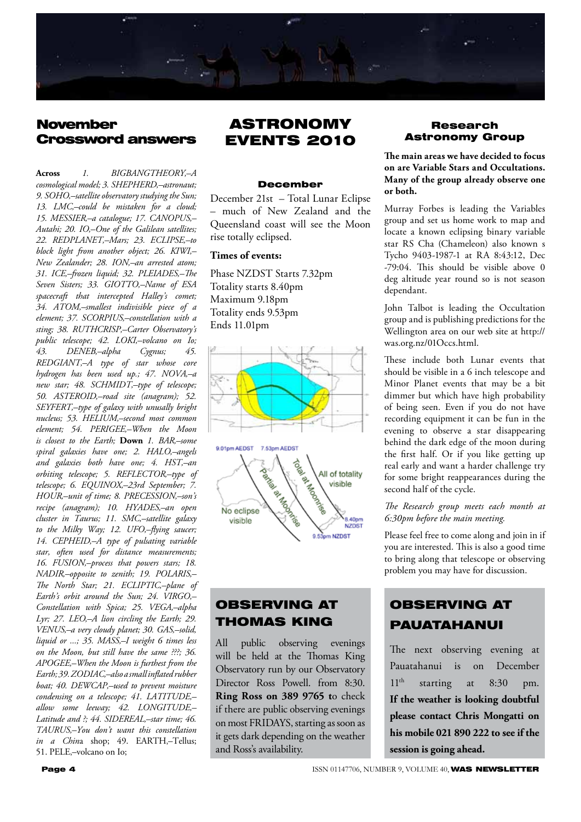

# **November** Crossword answers

**Across** *1. BIGBANGTHEORY'–A cosmological model; 3. SHEPHERD'–astronaut; 9. SOHO'–satellite observatory studying the Sun; 13. LMC'–could be mistaken for a cloud; 15. MESSIER'–a catalogue; 17. CANOPUS'–* Autahi; 20. IO,-One of the Galilean satellites; *22. REDPLANET'–Mars; 23. ECLIPSE'–to block light from another object; 26. KIWI'– New Zealander; 28. ION'–an arrested atom; 31. ICE'–frozen liquid; 32. PLEIADES'–The*  Seven Sisters; 33. GIOTTO,-Name of ESA *spacecraft that intercepted Halley's comet; 34. ATOM'–smallest indivisible piece of a element; 37. SCORPIUS'–constellation with a*  sting; 38. RUTHCRISP,-Carter Observatory's public telescope; 42. LOKI,-volcano on Io; *43. DENEB'–alpha Cygnus; 45. REDGIANT'–A type of star whose core hydrogen has been used up.; 47. NOVA'–a new star; 48. SCHMIDT'–type of telescope; 50. ASTEROID'–road site (anagram); 52. SEYFERT'–type of galaxy with unusally bright nucleus; 53. HELIUM'–second most common element; 54. PERIGEE'–When the Moon is closest to the Earth;* **Down** *1. BAR'–some*  spiral galaxies have one; 2. HALO,-angels *and galaxies both have one; 4. HST'–an orbiting telescope; 5. REFLECTOR'–type of telescope; 6. EQUINOX'–23rd September; 7. HOUR'–unit of time; 8. PRECESSION'–son's recipe (anagram); 10. HYADES'–an open cluster in Taurus; 11. SMC'–satellite galaxy*  to the Milky Way; 12. UFO,-flying saucer; *14. CEPHEID'–A type of pulsating variable star, often used for distance measurements; 16. FUSION'–process that powers stars; 18. NADIR'–opposite to zenith; 19. POLARIS'– The North Star; 21. ECLIPTIC'–plane of Earth's orbit around the Sun; 24. VIRGO'– Constellation with Spica; 25. VEGA'–alpha*  Lyr; 27. LEO,-A lion circling the Earth; 29. VENUS,-a very cloudy planet; 30. GAS,-solid, *liquid or ...; 35. MASS'–I weight 6 times less on the Moon, but still have the same ???; 36. APOGEE'–When the Moon is furthest from the Earth; 39. ZODIAC'–also a small inflated rubber*  boat; 40. DEWCAP,-used to prevent moisture *condensing on a telescope; 41. LATITUDE'– allow some leeway; 42. LONGITUDE'–* Latitude and ?; 44. SIDEREAL,-star time; 46. *TAURUS'–You don't want this constellation in a China* shop; 49. EARTH,-Tellus; 51. PELE,-volcano on Io;

# ASTRONOMY EVENTS 2010

#### December

December 21st – Total Lunar Eclipse – much of New Zealand and the Queensland coast will see the Moon rise totally eclipsed.

#### **Times of events:**

Phase NZDST Starts 7.32pm Totality starts 8.40pm Maximum 9.18pm Totality ends 9.53pm Ends 11.01pm



# OBSERVING AT THOMAS KING

All public observing evenings will be held at the Thomas King Observatory run by our Observatory Director Ross Powell. from 8:30. **Ring Ross on 389 9765 t**o check if there are public observing evenings on most FRIDAYS, starting as soon as it gets dark depending on the weather and Ross's availability.

#### Research Astronomy Group

**The main areas we have decided to focus on are Variable Stars and Occultations. Many of the group already observe one or both.**

Murray Forbes is leading the Variables group and set us home work to map and locate a known eclipsing binary variable star RS Cha (Chameleon) also known s Tycho 9403-1987-1 at RA 8:43:12, Dec -79:04. This should be visible above 0 deg altitude year round so is not season dependant.

John Talbot is leading the Occultation group and is publishing predictions for the Wellington area on our web site at http:// was.org.nz/01Occs.html.

These include both Lunar events that should be visible in a 6 inch telescope and Minor Planet events that may be a bit dimmer but which have high probability of being seen. Even if you do not have recording equipment it can be fun in the evening to observe a star disappearing behind the dark edge of the moon during the first half. Or if you like getting up real early and want a harder challenge try for some bright reappearances during the second half of the cycle.

#### *The Research group meets each month at 6:30pm before the main meeting.*

Please feel free to come along and join in if you are interested. This is also a good time to bring along that telescope or observing problem you may have for discussion.

# OBSERVING AT PAUATAHANUI

The next observing evening at Pauatahanui is on December  $11<sup>th</sup>$  starting at 8:30 pm. **If the weather is looking doubtful please contact Chris Mongatti on his mobile 021 890 222 to see if the session is going ahead.**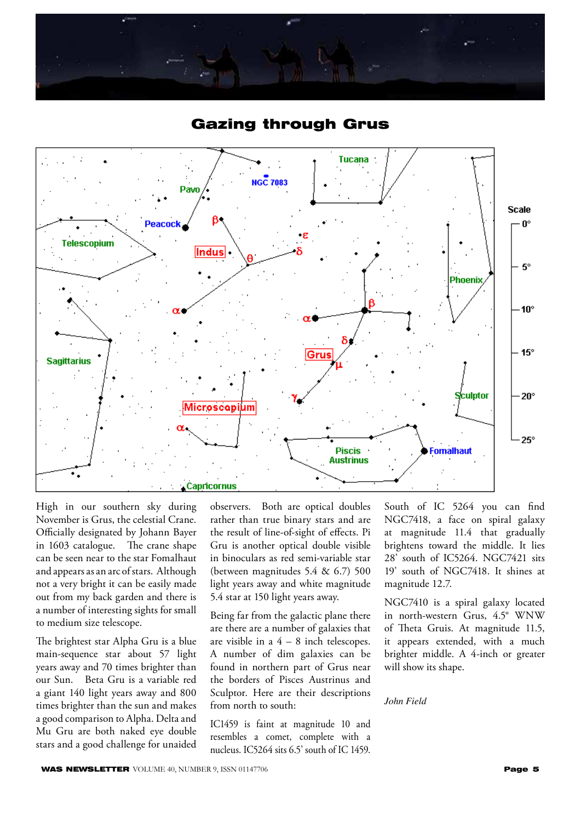





High in our southern sky during November is Grus, the celestial Crane. Officially designated by Johann Bayer in 1603 catalogue. The crane shape can be seen near to the star Fomalhaut and appears as an arc of stars. Although not a very bright it can be easily made out from my back garden and there is a number of interesting sights for small to medium size telescope.

The brightest star Alpha Gru is a blue main-sequence star about 57 light years away and 70 times brighter than our Sun. Beta Gru is a variable red a giant 140 light years away and 800 times brighter than the sun and makes a good comparison to Alpha. Delta and Mu Gru are both naked eye double stars and a good challenge for unaided

observers. Both are optical doubles rather than true binary stars and are the result of line-of-sight of effects. Pi Gru is another optical double visible in binoculars as red semi-variable star (between magnitudes 5.4 & 6.7) 500 light years away and white magnitude 5.4 star at 150 light years away.

Being far from the galactic plane there are there are a number of galaxies that are visible in a  $4 - 8$  inch telescopes. A number of dim galaxies can be found in northern part of Grus near the borders of Pisces Austrinus and Sculptor. Here are their descriptions from north to south:

IC1459 is faint at magnitude 10 and resembles a comet, complete with a nucleus. IC5264 sits 6.5' south of IC 1459.

South of IC 5264 you can find NGC7418, a face on spiral galaxy at magnitude 11.4 that gradually brightens toward the middle. It lies 28' south of IC5264. NGC7421 sits 19' south of NGC7418. It shines at magnitude 12.7.

NGC7410 is a spiral galaxy located in north-western Grus, 4.5° WNW of Theta Gruis. At magnitude 11.5, it appears extended, with a much brighter middle. A 4-inch or greater will show its shape.

*John Field*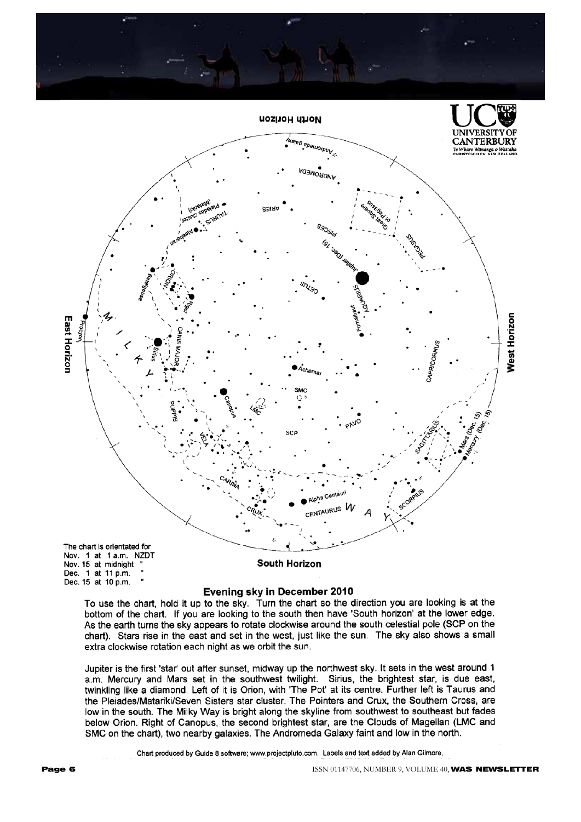

#### Evening sky in December 2010

To use the chart, hold it up to the sky. Turn the chart so the direction you are looking is at the bottom of the chart. If you are looking to the south then have 'South horizon' at the lower edge. As the earth turns the sky appears to rotate clockwise around the south celestial pole (SCP on the chart). Stars rise in the east and set in the west, just like the sun. The sky also shows a small extra clockwise rotation each night as we orbit the sun.

Jupiter is the first 'star' out after sunset, midway up the northwest sky. It sets in the west around 1 a.m. Mercury and Mars set in the southwest twilight. Sirius, the brightest star, is due east, twinkling like a diamond. Left of it is Orion, with 'The Pot' at its centre. Further left is Taurus and the Pleiades/Matariki/Seven Sisters star cluster. The Pointers and Crux, the Southern Cross, are low in the south. The Milky Way is bright along the skyline from southwest to southeast but fades below Orion. Right of Canopus, the second brightest star, are the Clouds of Magellan (LMC and SMC on the chart), two nearby galaxies. The Andromeda Galaxy faint and low in the north.

Chart produced by Guide 8 software; www.projectpluto.com. Labels and text added by Alan Gilmore,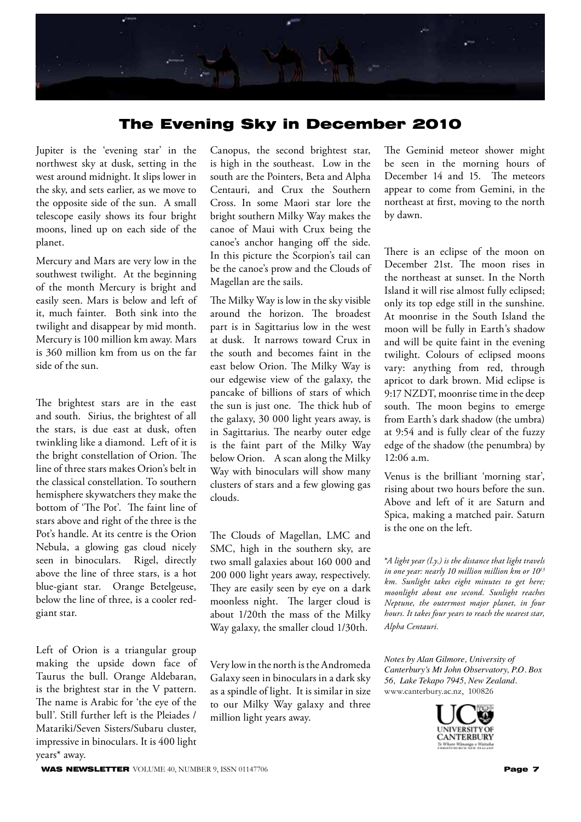

# The Evening Sky in December 2010

Jupiter is the 'evening star' in the northwest sky at dusk, setting in the west around midnight. It slips lower in the sky, and sets earlier, as we move to the opposite side of the sun. A small telescope easily shows its four bright moons, lined up on each side of the planet.

Mercury and Mars are very low in the southwest twilight. At the beginning of the month Mercury is bright and easily seen. Mars is below and left of it, much fainter. Both sink into the twilight and disappear by mid month. Mercury is 100 million km away. Mars is 360 million km from us on the far side of the sun.

The brightest stars are in the east and south. Sirius, the brightest of all the stars, is due east at dusk, often twinkling like a diamond. Left of it is the bright constellation of Orion. The line of three stars makes Orion's belt in the classical constellation. To southern hemisphere skywatchers they make the bottom of 'The Pot'. The faint line of stars above and right of the three is the Pot's handle. At its centre is the Orion Nebula, a glowing gas cloud nicely seen in binoculars. Rigel, directly above the line of three stars, is a hot blue-giant star. Orange Betelgeuse, below the line of three, is a cooler redgiant star.

Left of Orion is a triangular group making the upside down face of Taurus the bull. Orange Aldebaran, is the brightest star in the V pattern. The name is Arabic for 'the eye of the bull'. Still further left is the Pleiades / Matariki/Seven Sisters/Subaru cluster, impressive in binoculars. It is 400 light years\* away.

Canopus, the second brightest star, is high in the southeast. Low in the south are the Pointers, Beta and Alpha Centauri, and Crux the Southern Cross. In some Maori star lore the bright southern Milky Way makes the canoe of Maui with Crux being the canoe's anchor hanging off the side. In this picture the Scorpion's tail can be the canoe's prow and the Clouds of Magellan are the sails.

The Milky Way is low in the sky visible around the horizon. The broadest part is in Sagittarius low in the west at dusk. It narrows toward Crux in the south and becomes faint in the east below Orion. The Milky Way is our edgewise view of the galaxy, the pancake of billions of stars of which the sun is just one. The thick hub of the galaxy, 30 000 light years away, is in Sagittarius. The nearby outer edge is the faint part of the Milky Way below Orion. A scan along the Milky Way with binoculars will show many clusters of stars and a few glowing gas clouds.

The Clouds of Magellan, LMC and SMC, high in the southern sky, are two small galaxies about 160 000 and 200 000 light years away, respectively. They are easily seen by eye on a dark moonless night. The larger cloud is about 1/20th the mass of the Milky Way galaxy, the smaller cloud 1/30th.

Very low in the north is the Andromeda Galaxy seen in binoculars in a dark sky as a spindle of light. It is similar in size to our Milky Way galaxy and three million light years away.

The Geminid meteor shower might be seen in the morning hours of December 14 and 15. The meteors appear to come from Gemini, in the northeast at first, moving to the north by dawn.

There is an eclipse of the moon on December 21st. The moon rises in the northeast at sunset. In the North Island it will rise almost fully eclipsed; only its top edge still in the sunshine. At moonrise in the South Island the moon will be fully in Earth's shadow and will be quite faint in the evening twilight. Colours of eclipsed moons vary: anything from red, through apricot to dark brown. Mid eclipse is 9:17 NZDT, moonrise time in the deep south. The moon begins to emerge from Earth's dark shadow (the umbra) at 9:54 and is fully clear of the fuzzy edge of the shadow (the penumbra) by 12:06 a.m.

Venus is the brilliant 'morning star', rising about two hours before the sun. Above and left of it are Saturn and Spica, making a matched pair. Saturn is the one on the left.

\**A light year (l.y.) is the distance that light travels in one year: nearly 10 million million km or 1013 km. Sunlight takes eight minutes to get here; moonlight about one second. Sunlight reaches Neptune, the outermost major planet, in four hours. It takes four years to reach the nearest star, Alpha Centauri.*

*Notes by Alan Gilmore, University of Canterbury's Mt John Observatory, P.O. Box 56, Lake Tekapo 7945, New Zealand.* www.canterbury.ac.nz, 100826